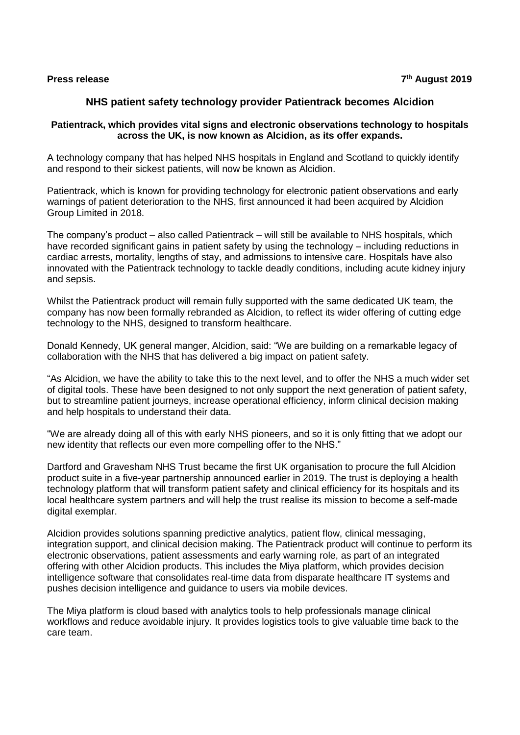### **Press release 7**

# **NHS patient safety technology provider Patientrack becomes Alcidion**

## **Patientrack, which provides vital signs and electronic observations technology to hospitals across the UK, is now known as Alcidion, as its offer expands.**

A technology company that has helped NHS hospitals in England and Scotland to quickly identify and respond to their sickest patients, will now be known as Alcidion.

Patientrack, which is known for providing technology for electronic patient observations and early warnings of patient deterioration to the NHS, first announced it had been acquired by Alcidion Group Limited in 2018.

The company's product – also called Patientrack – will still be available to NHS hospitals, which have recorded significant gains in patient safety by using the technology – including reductions in cardiac arrests, mortality, lengths of stay, and admissions to intensive care. Hospitals have also innovated with the Patientrack technology to tackle deadly conditions, including acute kidney injury and sepsis.

Whilst the Patientrack product will remain fully supported with the same dedicated UK team, the company has now been formally rebranded as Alcidion, to reflect its wider offering of cutting edge technology to the NHS, designed to transform healthcare.

Donald Kennedy, UK general manger, Alcidion, said: "We are building on a remarkable legacy of collaboration with the NHS that has delivered a big impact on patient safety.

"As Alcidion, we have the ability to take this to the next level, and to offer the NHS a much wider set of digital tools. These have been designed to not only support the next generation of patient safety, but to streamline patient journeys, increase operational efficiency, inform clinical decision making and help hospitals to understand their data.

"We are already doing all of this with early NHS pioneers, and so it is only fitting that we adopt our new identity that reflects our even more compelling offer to the NHS."

Dartford and Gravesham NHS Trust became the first UK organisation to procure the full Alcidion product suite in a five-year partnership announced earlier in 2019. The trust is deploying a health technology platform that will transform patient safety and clinical efficiency for its hospitals and its local healthcare system partners and will help the trust realise its mission to become a self-made digital exemplar.

Alcidion provides solutions spanning predictive analytics, patient flow, clinical messaging, integration support, and clinical decision making. The Patientrack product will continue to perform its electronic observations, patient assessments and early warning role, as part of an integrated offering with other Alcidion products. This includes the Miya platform, which provides decision intelligence software that consolidates real-time data from disparate healthcare IT systems and pushes decision intelligence and guidance to users via mobile devices.

The Miya platform is cloud based with analytics tools to help professionals manage clinical workflows and reduce avoidable injury. It provides logistics tools to give valuable time back to the care team.